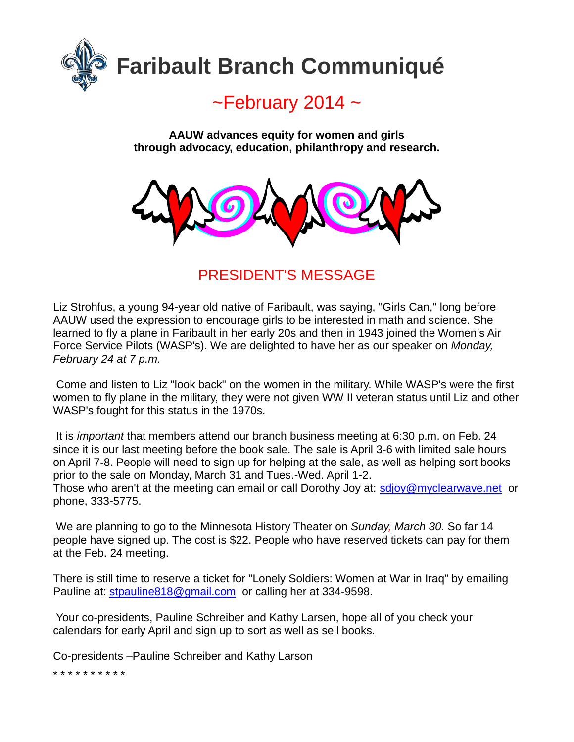

# $\sim$ February 2014  $\sim$

**AAUW advances equity for women and girls through advocacy, education, philanthropy and research.**



PRESIDENT'S MESSAGE

Liz Strohfus, a young 94-year old native of Faribault, was saying, "Girls Can," long before AAUW used the expression to encourage girls to be interested in math and science. She learned to fly a plane in Faribault in her early 20s and then in 1943 joined the Women's Air Force Service Pilots (WASP's). We are delighted to have her as our speaker on *Monday, February 24 at 7 p.m.*

Come and listen to Liz "look back" on the women in the military. While WASP's were the first women to fly plane in the military, they were not given WW II veteran status until Liz and other WASP's fought for this status in the 1970s.

It is *important* that members attend our branch business meeting at 6:30 p.m. on Feb. 24 since it is our last meeting before the book sale. The sale is April 3-6 with limited sale hours on April 7-8. People will need to sign up for helping at the sale, as well as helping sort books prior to the sale on Monday, March 31 and Tues.-Wed. April 1-2.

Those who aren't at the meeting can email or call Dorothy Joy at: [sdjoy@myclearwave.net](mailto:sdjoy@myclearwave.net) or phone, 333-5775.

We are planning to go to the Minnesota History Theater on *Sunday, March 30.* So far 14 people have signed up. The cost is \$22. People who have reserved tickets can pay for them at the Feb. 24 meeting.

There is still time to reserve a ticket for "Lonely Soldiers: Women at War in Iraq" by emailing Pauline at: [stpauline818@gmail.com](mailto:stpauline818@gmail.com) or calling her at 334-9598.

Your co-presidents, Pauline Schreiber and Kathy Larsen, hope all of you check your calendars for early April and sign up to sort as well as sell books.

Co-presidents –Pauline Schreiber and Kathy Larson

\* \* \* \* \* \* \* \* \* \*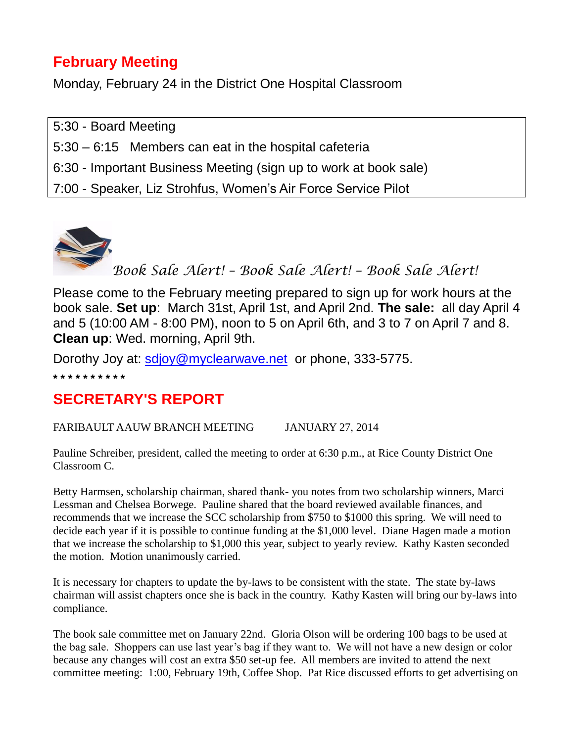## **February Meeting**

Monday, February 24 in the District One Hospital Classroom

5:30 - Board Meeting 5:30 – 6:15 Members can eat in the hospital cafeteria 6:30 - Important Business Meeting (sign up to work at book sale) 7:00 - Speaker, Liz Strohfus, Women's Air Force Service Pilot



Please come to the February meeting prepared to sign up for work hours at the book sale. **Set up**: March 31st, April 1st, and April 2nd. **The sale:** all day April 4 and 5 (10:00 AM - 8:00 PM), noon to 5 on April 6th, and 3 to 7 on April 7 and 8. **Clean up**: Wed. morning, April 9th.

Dorothy Joy at: [sdjoy@myclearwave.net](mailto:sdjoy@myclearwave.net) or phone, 333-5775. **\* \* \* \* \* \* \* \* \* \***

### **SECRETARY'S REPORT**

FARIBAULT AAUW BRANCH MEETING JANUARY 27, 2014

Pauline Schreiber, president, called the meeting to order at 6:30 p.m., at Rice County District One Classroom C.

Betty Harmsen, scholarship chairman, shared thank- you notes from two scholarship winners, Marci Lessman and Chelsea Borwege. Pauline shared that the board reviewed available finances, and recommends that we increase the SCC scholarship from \$750 to \$1000 this spring. We will need to decide each year if it is possible to continue funding at the \$1,000 level. Diane Hagen made a motion that we increase the scholarship to \$1,000 this year, subject to yearly review. Kathy Kasten seconded the motion. Motion unanimously carried.

It is necessary for chapters to update the by-laws to be consistent with the state. The state by-laws chairman will assist chapters once she is back in the country. Kathy Kasten will bring our by-laws into compliance.

The book sale committee met on January 22nd. Gloria Olson will be ordering 100 bags to be used at the bag sale. Shoppers can use last year's bag if they want to. We will not have a new design or color because any changes will cost an extra \$50 set-up fee. All members are invited to attend the next committee meeting: 1:00, February 19th, Coffee Shop. Pat Rice discussed efforts to get advertising on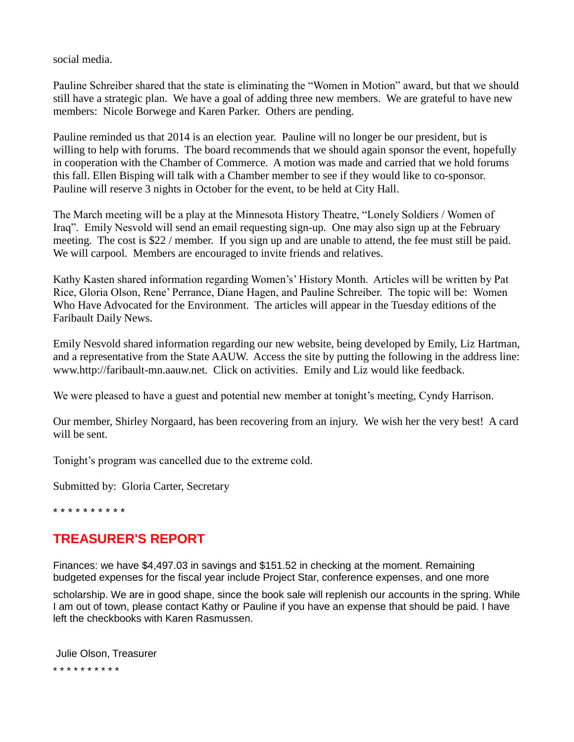social media.

Pauline Schreiber shared that the state is eliminating the "Women in Motion" award, but that we should still have a strategic plan. We have a goal of adding three new members. We are grateful to have new members: Nicole Borwege and Karen Parker. Others are pending.

Pauline reminded us that 2014 is an election year. Pauline will no longer be our president, but is willing to help with forums. The board recommends that we should again sponsor the event, hopefully in cooperation with the Chamber of Commerce. A motion was made and carried that we hold forums this fall. Ellen Bisping will talk with a Chamber member to see if they would like to co-sponsor. Pauline will reserve 3 nights in October for the event, to be held at City Hall.

The March meeting will be a play at the Minnesota History Theatre, "Lonely Soldiers / Women of Iraq". Emily Nesvold will send an email requesting sign-up. One may also sign up at the February meeting. The cost is \$22 / member. If you sign up and are unable to attend, the fee must still be paid. We will carpool. Members are encouraged to invite friends and relatives.

Kathy Kasten shared information regarding Women's' History Month. Articles will be written by Pat Rice, Gloria Olson, Rene' Perrance, Diane Hagen, and Pauline Schreiber. The topic will be: Women Who Have Advocated for the Environment. The articles will appear in the Tuesday editions of the Faribault Daily News.

Emily Nesvold shared information regarding our new website, being developed by Emily, Liz Hartman, and a representative from the State AAUW. Access the site by putting the following in the address line: www.http://faribault-mn.aauw.net. Click on activities. Emily and Liz would like feedback.

We were pleased to have a guest and potential new member at tonight's meeting, Cyndy Harrison.

Our member, Shirley Norgaard, has been recovering from an injury. We wish her the very best! A card will be sent.

Tonight's program was cancelled due to the extreme cold.

Submitted by: Gloria Carter, Secretary

\* \* \* \* \* \* \* \* \* \*

#### **TREASURER'S REPORT**

Finances: we have \$4,497.03 in savings and \$151.52 in checking at the moment. Remaining budgeted expenses for the fiscal year include Project Star, conference expenses, and one more

scholarship. We are in good shape, since the book sale will replenish our accounts in the spring. While I am out of town, please contact Kathy or Pauline if you have an expense that should be paid. I have left the checkbooks with Karen Rasmussen.

Julie Olson, Treasurer \* \* \* \* \* \* \* \* \* \*